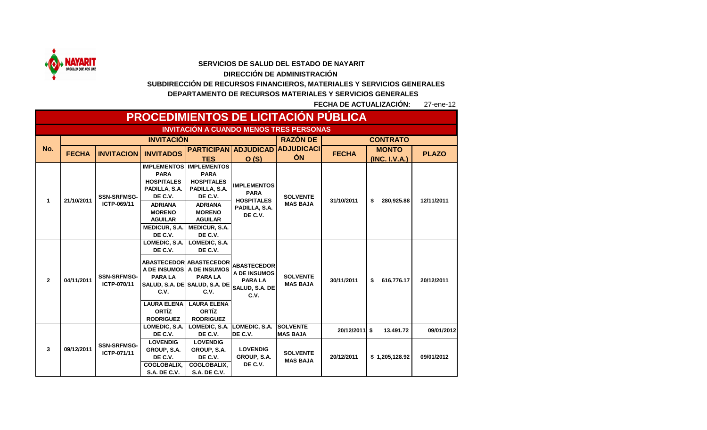

## **SERVICIOS DE SALUD DEL ESTADO DE NAYARIT DIRECCIÓN DE ADMINISTRACIÓN**

 **SUBDIRECCIÓN DE RECURSOS FINANCIEROS, MATERIALES Y SERVICIOS GENERALES DEPARTAMENTO DE RECURSOS MATERIALES Y SERVICIOS GENERALES** 

> 27-ene-12 **FECHA DE ACTUALIZACIÓN:**

| <b>PROCEDIMIENTOS DE LICITACION PÚBLICA</b>    |                   |                                   |                                                                                                                                                                            |                                                                                                                                                                                          |                                                                                    |                                                                          |                             |                               |                          |  |  |
|------------------------------------------------|-------------------|-----------------------------------|----------------------------------------------------------------------------------------------------------------------------------------------------------------------------|------------------------------------------------------------------------------------------------------------------------------------------------------------------------------------------|------------------------------------------------------------------------------------|--------------------------------------------------------------------------|-----------------------------|-------------------------------|--------------------------|--|--|
| <b>INVITACIÓN A CUANDO MENOS TRES PERSONAS</b> |                   |                                   |                                                                                                                                                                            |                                                                                                                                                                                          |                                                                                    |                                                                          |                             |                               |                          |  |  |
| No.                                            | <b>INVITACIÓN</b> |                                   |                                                                                                                                                                            |                                                                                                                                                                                          |                                                                                    | <b>RAZÓN DE</b>                                                          | <b>CONTRATO</b>             |                               |                          |  |  |
|                                                | <b>FECHA</b>      | <b>INVITACION</b>                 | <b>INVITADOS</b>                                                                                                                                                           | <b>TES</b>                                                                                                                                                                               | <b>PARTICIPAN ADJUDICAD</b><br>O(S)                                                | <b>ADJUDICACI</b><br><b>ON</b>                                           | <b>FECHA</b>                | <b>MONTO</b><br>(INC. I.V.A.) | <b>PLAZO</b>             |  |  |
| $\mathbf{1}$                                   | 21/10/2011        | <b>SSN-SRFMSG-</b><br>ICTP-069/11 | <b>PARA</b><br><b>HOSPITALES</b><br>PADILLA, S.A.<br>DE C.V.<br><b>ADRIANA</b><br><b>MORENO</b><br><b>AGUILAR</b><br><b>MEDICUR, S.A.</b><br>DE C.V.                       | <b>IMPLEMENTOS   IMPLEMENTOS</b><br><b>PARA</b><br><b>HOSPITALES</b><br>PADILLA, S.A.<br>DE C.V.<br><b>ADRIANA</b><br><b>MORENO</b><br><b>AGUILAR</b><br><b>MEDICUR, S.A.</b><br>DE C.V. | <b>IMPLEMENTOS</b><br><b>PARA</b><br><b>HOSPITALES</b><br>PADILLA, S.A.<br>DE C.V. | <b>SOLVENTE</b><br><b>MAS BAJA</b>                                       | 31/10/2011                  | \$<br>280,925.88              | 12/11/2011               |  |  |
| $\mathbf{2}$                                   | 04/11/2011        | <b>SSN-SRFMSG-</b><br>ICTP-070/11 | LOMEDIC, S.A.<br>DE C.V.<br><b>ABASTECEDOR ABASTECEDOR</b><br>A DE INSUMOS A DE INSUMOS<br><b>PARALA</b><br>C.V.<br><b>LAURA ELENA</b><br><b>ORTÍZ</b><br><b>RODRIGUEZ</b> | LOMEDIC, S.A.<br>DE C.V.<br><b>PARALA</b><br>SALUD, S.A. DE SALUD, S.A. DE<br>C.V.<br><b>LAURA ELENA</b><br><b>ORTÍZ</b><br><b>RODRIGUEZ</b>                                             | <b>ABASTECEDOR</b><br>A DE INSUMOS<br><b>PARALA</b><br>SALUD, S.A. DE<br>C.V.      | <b>SOLVENTE</b><br><b>MAS BAJA</b>                                       | 30/11/2011                  | \$<br>616,776.17              | 20/12/2011               |  |  |
| 3                                              | 09/12/2011        | <b>SSN-SRFMSG-</b><br>ICTP-071/11 | LOMEDIC, S.A.<br>DE C.V.<br><b>LOVENDIG</b><br>GROUP, S.A.<br>DE C.V.<br><b>COGLOBALIX,</b><br><b>S.A. DE C.V.</b>                                                         | LOMEDIC, S.A.<br>DE C.V.<br><b>LOVENDIG</b><br>GROUP, S.A.<br>DE C.V.<br><b>COGLOBALIX,</b><br><b>S.A. DE C.V.</b>                                                                       | LOMEDIC, S.A.<br>DE C.V.<br><b>LOVENDIG</b><br>GROUP, S.A.<br>DE C.V.              | <b>SOLVENTE</b><br><b>MAS BAJA</b><br><b>SOLVENTE</b><br><b>MAS BAJA</b> | 20/12/2011 \$<br>20/12/2011 | 13,491.72<br>\$1,205,128.92   | 09/01/2012<br>09/01/2012 |  |  |